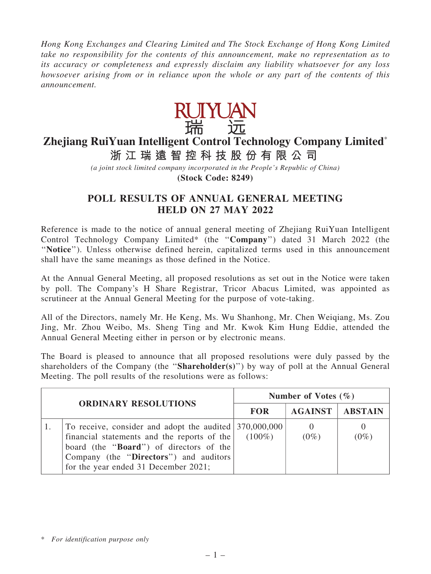Hong Kong Exchanges and Clearing Limited and The Stock Exchange of Hong Kong Limited take no responsibility for the contents of this announcement, make no representation as to its accuracy or completeness and expressly disclaim any liability whatsoever for any loss howsoever arising from or in reliance upon the whole or any part of the contents of this announcement.



## **Zhejiang RuiYuan Intelligent Control Technology Company Limited**\*

**浙 江 瑞 遠 智 控 科 技 股 份 有 限 公 司**

*(a joint stock limited company incorporated in the People's Republic of China)* **(Stock Code: 8249)**

## POLL RESULTS OF ANNUAL GENERAL MEETING HELD ON 27 MAY 2022

Reference is made to the notice of annual general meeting of Zhejiang RuiYuan Intelligent Control Technology Company Limited\* (the ''Company'') dated 31 March 2022 (the ''Notice''). Unless otherwise defined herein, capitalized terms used in this announcement shall have the same meanings as those defined in the Notice.

At the Annual General Meeting, all proposed resolutions as set out in the Notice were taken by poll. The Company's H Share Registrar, Tricor Abacus Limited, was appointed as scrutineer at the Annual General Meeting for the purpose of vote-taking.

All of the Directors, namely Mr. He Keng, Ms. Wu Shanhong, Mr. Chen Weiqiang, Ms. Zou Jing, Mr. Zhou Weibo, Ms. Sheng Ting and Mr. Kwok Kim Hung Eddie, attended the Annual General Meeting either in person or by electronic means.

The Board is pleased to announce that all proposed resolutions were duly passed by the shareholders of the Company (the "Shareholder(s)") by way of poll at the Annual General Meeting. The poll results of the resolutions were as follows:

| <b>ORDINARY RESOLUTIONS</b> |                                                                                                                                                                                                                                             | Number of Votes $(\% )$ |                |                |  |
|-----------------------------|---------------------------------------------------------------------------------------------------------------------------------------------------------------------------------------------------------------------------------------------|-------------------------|----------------|----------------|--|
|                             |                                                                                                                                                                                                                                             | <b>FOR</b>              | <b>AGAINST</b> | <b>ABSTAIN</b> |  |
|                             | To receive, consider and adopt the audited 370,000,000<br>financial statements and the reports of the<br>board (the " <b>Board</b> ") of directors of the<br>Company (the "Directors") and auditors<br>for the year ended 31 December 2021; | $(100\%)$               | $(0\%)$        | $(0\%)$        |  |

<sup>\*</sup> For identification purpose only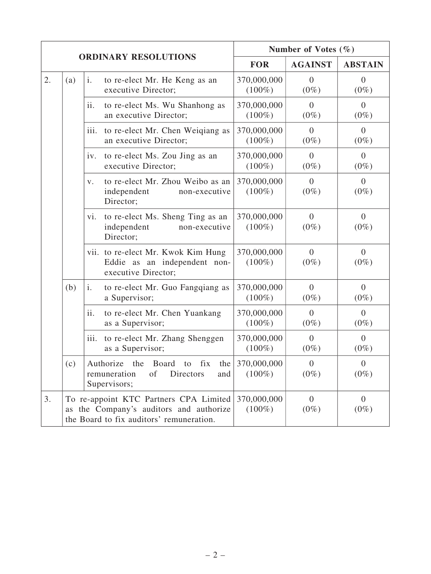| <b>ORDINARY RESOLUTIONS</b> |     |                                                                                                                               | Number of Votes $(\% )$  |                           |                           |
|-----------------------------|-----|-------------------------------------------------------------------------------------------------------------------------------|--------------------------|---------------------------|---------------------------|
|                             |     |                                                                                                                               | <b>FOR</b>               | <b>AGAINST</b>            | <b>ABSTAIN</b>            |
| 2.                          | (a) | $\mathbf{i}$ .<br>to re-elect Mr. He Keng as an<br>executive Director;                                                        | 370,000,000<br>$(100\%)$ | $\overline{0}$<br>$(0\%)$ | $\theta$<br>$(0\%)$       |
|                             |     | ii.<br>to re-elect Ms. Wu Shanhong as<br>an executive Director;                                                               | 370,000,000<br>$(100\%)$ | $\overline{0}$<br>$(0\%)$ | $\overline{0}$<br>$(0\%)$ |
|                             |     | iii.<br>to re-elect Mr. Chen Weiqiang as<br>an executive Director;                                                            | 370,000,000<br>$(100\%)$ | $\overline{0}$<br>$(0\%)$ | $\overline{0}$<br>$(0\%)$ |
|                             |     | to re-elect Ms. Zou Jing as an<br>iv.<br>executive Director;                                                                  | 370,000,000<br>$(100\%)$ | $\overline{0}$<br>$(0\%)$ | $\overline{0}$<br>$(0\%)$ |
|                             |     | to re-elect Mr. Zhou Weibo as an<br>V.<br>independent<br>non-executive<br>Director;                                           | 370,000,000<br>$(100\%)$ | $\overline{0}$<br>$(0\%)$ | $\overline{0}$<br>$(0\%)$ |
|                             |     | to re-elect Ms. Sheng Ting as an<br>vi.<br>independent<br>non-executive<br>Director;                                          | 370,000,000<br>$(100\%)$ | $\overline{0}$<br>$(0\%)$ | $\overline{0}$<br>$(0\%)$ |
|                             |     | vii. to re-elect Mr. Kwok Kim Hung<br>Eddie as an independent non-<br>executive Director;                                     | 370,000,000<br>$(100\%)$ | $\overline{0}$<br>$(0\%)$ | $\overline{0}$<br>$(0\%)$ |
|                             | (b) | to re-elect Mr. Guo Fangqiang as<br>i.<br>a Supervisor;                                                                       | 370,000,000<br>$(100\%)$ | $\overline{0}$<br>$(0\%)$ | $\overline{0}$<br>$(0\%)$ |
|                             |     | ii.<br>to re-elect Mr. Chen Yuankang<br>as a Supervisor;                                                                      | 370,000,000<br>$(100\%)$ | $\overline{0}$<br>$(0\%)$ | $\overline{0}$<br>$(0\%)$ |
|                             |     | to re-elect Mr. Zhang Shenggen<br>iii.<br>as a Supervisor;                                                                    | 370,000,000<br>$(100\%)$ | $\overline{0}$<br>$(0\%)$ | $\overline{0}$<br>$(0\%)$ |
|                             | (c) | Authorize the Board to fix the $370,000,000$<br>Directors<br>remuneration<br>of<br>and<br>Supervisors;                        | $(100\%)$                | $\overline{0}$<br>$(0\%)$ | $\overline{0}$<br>$(0\%)$ |
| 3.                          |     | To re-appoint KTC Partners CPA Limited<br>as the Company's auditors and authorize<br>the Board to fix auditors' remuneration. | 370,000,000<br>$(100\%)$ | $\overline{0}$<br>$(0\%)$ | $\overline{0}$<br>$(0\%)$ |